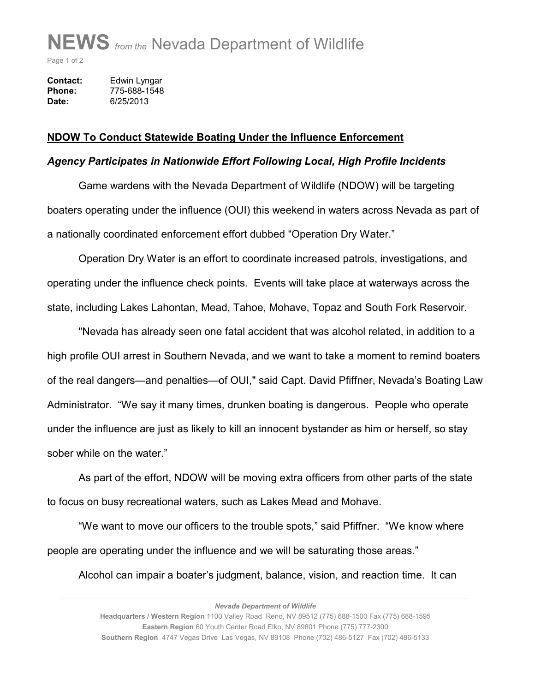## **NEWS** *from the* Nevada Department of Wildlife

Page 1 of 2

| Contact: | Edwin Lyngar |
|----------|--------------|
| Phone:   | 775-688-1548 |
| Date:    | 6/25/2013    |

## **NDOW To Conduct Statewide Boating Under the Influence Enforcement**

## *Agency Participates in Nationwide Effort Following Local, High Profile Incidents*

 Game wardens with the Nevada Department of Wildlife (NDOW) will be targeting boaters operating under the influence (OUI) this weekend in waters across Nevada as part of a nationally coordinated enforcement effort dubbed "Operation Dry Water."

 Operation Dry Water is an effort to coordinate increased patrols, investigations, and operating under the influence check points. Events will take place at waterways across the state, including Lakes Lahontan, Mead, Tahoe, Mohave, Topaz and South Fork Reservoir.

 "Nevada has already seen one fatal accident that was alcohol related, in addition to a high profile OUI arrest in Southern Nevada, and we want to take a moment to remind boaters of the real dangers—and penalties—of OUI," said Capt. David Pfiffner, Nevada's Boating Law Administrator. "We say it many times, drunken boating is dangerous. People who operate under the influence are just as likely to kill an innocent bystander as him or herself, so stay sober while on the water."

 As part of the effort, NDOW will be moving extra officers from other parts of the state to focus on busy recreational waters, such as Lakes Mead and Mohave.

 "We want to move our officers to the trouble spots," said Pfiffner. "We know where people are operating under the influence and we will be saturating those areas."

Alcohol can impair a boater's judgment, balance, vision, and reaction time. It can

*\_\_\_\_\_\_\_\_\_\_\_\_\_\_\_\_\_\_\_\_\_\_\_\_\_\_\_\_\_\_\_\_\_\_\_\_\_\_\_\_\_\_\_\_\_\_\_\_\_\_\_\_\_\_\_\_\_\_\_\_\_\_\_\_\_\_\_\_\_\_\_\_\_\_\_\_\_\_*